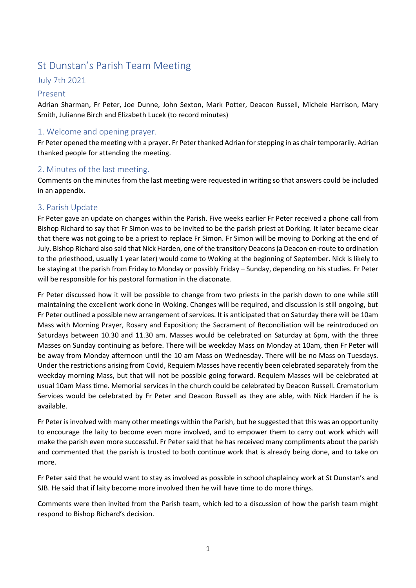# St Dunstan's Parish Team Meeting

## July 7th 2021

#### Present

Adrian Sharman, Fr Peter, Joe Dunne, John Sexton, Mark Potter, Deacon Russell, Michele Harrison, Mary Smith, Julianne Birch and Elizabeth Lucek (to record minutes)

### 1. Welcome and opening prayer.

Fr Peter opened the meeting with a prayer. Fr Peter thanked Adrian for stepping in as chair temporarily. Adrian thanked people for attending the meeting.

#### 2. Minutes of the last meeting.

Comments on the minutes from the last meeting were requested in writing so that answers could be included in an appendix.

#### 3. Parish Update

Fr Peter gave an update on changes within the Parish. Five weeks earlier Fr Peter received a phone call from Bishop Richard to say that Fr Simon was to be invited to be the parish priest at Dorking. It later became clear that there was not going to be a priest to replace Fr Simon. Fr Simon will be moving to Dorking at the end of July. Bishop Richard also said that Nick Harden, one of the transitory Deacons (a Deacon en-route to ordination to the priesthood, usually 1 year later) would come to Woking at the beginning of September. Nick is likely to be staying at the parish from Friday to Monday or possibly Friday – Sunday, depending on his studies. Fr Peter will be responsible for his pastoral formation in the diaconate.

Fr Peter discussed how it will be possible to change from two priests in the parish down to one while still maintaining the excellent work done in Woking. Changes will be required, and discussion is still ongoing, but Fr Peter outlined a possible new arrangement of services. It is anticipated that on Saturday there will be 10am Mass with Morning Prayer, Rosary and Exposition; the Sacrament of Reconciliation will be reintroduced on Saturdays between 10.30 and 11.30 am. Masses would be celebrated on Saturday at 6pm, with the three Masses on Sunday continuing as before. There will be weekday Mass on Monday at 10am, then Fr Peter will be away from Monday afternoon until the 10 am Mass on Wednesday. There will be no Mass on Tuesdays. Under the restrictions arising from Covid, Requiem Masses have recently been celebrated separately from the weekday morning Mass, but that will not be possible going forward. Requiem Masses will be celebrated at usual 10am Mass time. Memorial services in the church could be celebrated by Deacon Russell. Crematorium Services would be celebrated by Fr Peter and Deacon Russell as they are able, with Nick Harden if he is available.

Fr Peter is involved with many other meetings within the Parish, but he suggested that this was an opportunity to encourage the laity to become even more involved, and to empower them to carry out work which will make the parish even more successful. Fr Peter said that he has received many compliments about the parish and commented that the parish is trusted to both continue work that is already being done, and to take on more.

Fr Peter said that he would want to stay as involved as possible in school chaplaincy work at St Dunstan's and SJB. He said that if laity become more involved then he will have time to do more things.

Comments were then invited from the Parish team, which led to a discussion of how the parish team might respond to Bishop Richard's decision.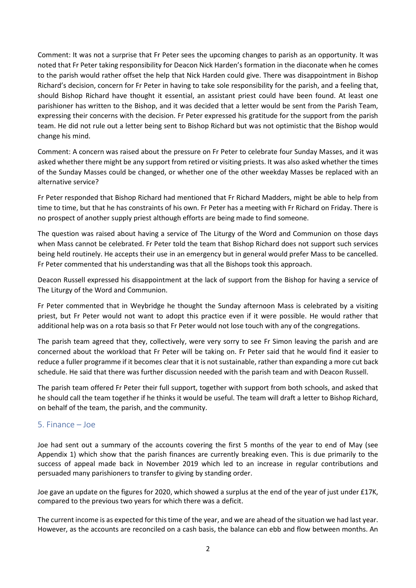Comment: It was not a surprise that Fr Peter sees the upcoming changes to parish as an opportunity. It was noted that Fr Peter taking responsibility for Deacon Nick Harden's formation in the diaconate when he comes to the parish would rather offset the help that Nick Harden could give. There was disappointment in Bishop Richard's decision, concern for Fr Peter in having to take sole responsibility for the parish, and a feeling that, should Bishop Richard have thought it essential, an assistant priest could have been found. At least one parishioner has written to the Bishop, and it was decided that a letter would be sent from the Parish Team, expressing their concerns with the decision. Fr Peter expressed his gratitude for the support from the parish team. He did not rule out a letter being sent to Bishop Richard but was not optimistic that the Bishop would change his mind.

Comment: A concern was raised about the pressure on Fr Peter to celebrate four Sunday Masses, and it was asked whether there might be any support from retired or visiting priests. It was also asked whether the times of the Sunday Masses could be changed, or whether one of the other weekday Masses be replaced with an alternative service?

Fr Peter responded that Bishop Richard had mentioned that Fr Richard Madders, might be able to help from time to time, but that he has constraints of his own. Fr Peter has a meeting with Fr Richard on Friday. There is no prospect of another supply priest although efforts are being made to find someone.

The question was raised about having a service of The Liturgy of the Word and Communion on those days when Mass cannot be celebrated. Fr Peter told the team that Bishop Richard does not support such services being held routinely. He accepts their use in an emergency but in general would prefer Mass to be cancelled. Fr Peter commented that his understanding was that all the Bishops took this approach.

Deacon Russell expressed his disappointment at the lack of support from the Bishop for having a service of The Liturgy of the Word and Communion.

Fr Peter commented that in Weybridge he thought the Sunday afternoon Mass is celebrated by a visiting priest, but Fr Peter would not want to adopt this practice even if it were possible. He would rather that additional help was on a rota basis so that Fr Peter would not lose touch with any of the congregations.

The parish team agreed that they, collectively, were very sorry to see Fr Simon leaving the parish and are concerned about the workload that Fr Peter will be taking on. Fr Peter said that he would find it easier to reduce a fuller programme if it becomes clear that it is not sustainable, rather than expanding a more cut back schedule. He said that there was further discussion needed with the parish team and with Deacon Russell.

The parish team offered Fr Peter their full support, together with support from both schools, and asked that he should call the team together if he thinks it would be useful. The team will draft a letter to Bishop Richard, on behalf of the team, the parish, and the community.

### 5. Finance – Joe

Joe had sent out a summary of the accounts covering the first 5 months of the year to end of May (see Appendix 1) which show that the parish finances are currently breaking even. This is due primarily to the success of appeal made back in November 2019 which led to an increase in regular contributions and persuaded many parishioners to transfer to giving by standing order.

Joe gave an update on the figures for 2020, which showed a surplus at the end of the year of just under £17K, compared to the previous two years for which there was a deficit.

The current income is as expected for this time of the year, and we are ahead of the situation we had last year. However, as the accounts are reconciled on a cash basis, the balance can ebb and flow between months. An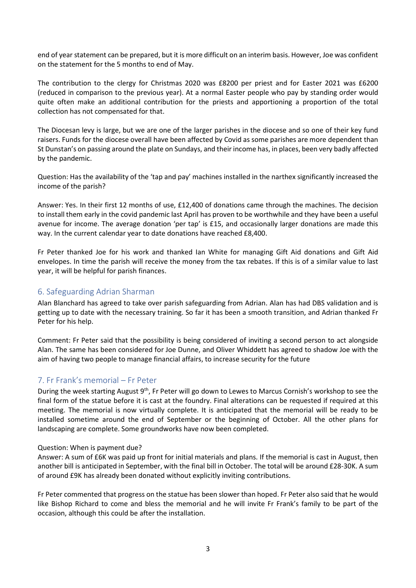end of year statement can be prepared, but it is more difficult on an interim basis. However, Joe was confident on the statement for the 5 months to end of May.

The contribution to the clergy for Christmas 2020 was £8200 per priest and for Easter 2021 was £6200 (reduced in comparison to the previous year). At a normal Easter people who pay by standing order would quite often make an additional contribution for the priests and apportioning a proportion of the total collection has not compensated for that.

The Diocesan levy is large, but we are one of the larger parishes in the diocese and so one of their key fund raisers. Funds for the diocese overall have been affected by Covid as some parishes are more dependent than St Dunstan's on passing around the plate on Sundays, and their income has, in places, been very badly affected by the pandemic.

Question: Has the availability of the 'tap and pay' machines installed in the narthex significantly increased the income of the parish?

Answer: Yes. In their first 12 months of use, £12,400 of donations came through the machines. The decision to install them early in the covid pandemic last April has proven to be worthwhile and they have been a useful avenue for income. The average donation 'per tap' is £15, and occasionally larger donations are made this way. In the current calendar year to date donations have reached £8,400.

Fr Peter thanked Joe for his work and thanked Ian White for managing Gift Aid donations and Gift Aid envelopes. In time the parish will receive the money from the tax rebates. If this is of a similar value to last year, it will be helpful for parish finances.

#### 6. Safeguarding Adrian Sharman

Alan Blanchard has agreed to take over parish safeguarding from Adrian. Alan has had DBS validation and is getting up to date with the necessary training. So far it has been a smooth transition, and Adrian thanked Fr Peter for his help.

Comment: Fr Peter said that the possibility is being considered of inviting a second person to act alongside Alan. The same has been considered for Joe Dunne, and Oliver Whiddett has agreed to shadow Joe with the aim of having two people to manage financial affairs, to increase security for the future

#### 7. Fr Frank's memorial – Fr Peter

During the week starting August 9<sup>th</sup>, Fr Peter will go down to Lewes to Marcus Cornish's workshop to see the final form of the statue before it is cast at the foundry. Final alterations can be requested if required at this meeting. The memorial is now virtually complete. It is anticipated that the memorial will be ready to be installed sometime around the end of September or the beginning of October. All the other plans for landscaping are complete. Some groundworks have now been completed.

#### Question: When is payment due?

Answer: A sum of £6K was paid up front for initial materials and plans. If the memorial is cast in August, then another bill is anticipated in September, with the final bill in October. The total will be around £28-30K. A sum of around £9K has already been donated without explicitly inviting contributions.

Fr Peter commented that progress on the statue has been slower than hoped. Fr Peter also said that he would like Bishop Richard to come and bless the memorial and he will invite Fr Frank's family to be part of the occasion, although this could be after the installation.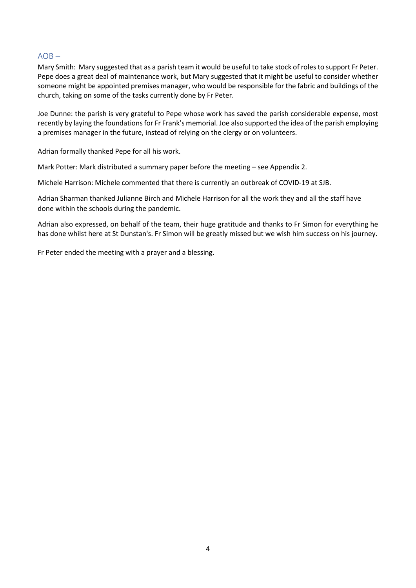#### $AOB -$

Mary Smith: Mary suggested that as a parish team it would be useful to take stock of roles to support Fr Peter. Pepe does a great deal of maintenance work, but Mary suggested that it might be useful to consider whether someone might be appointed premises manager, who would be responsible for the fabric and buildings of the church, taking on some of the tasks currently done by Fr Peter.

Joe Dunne: the parish is very grateful to Pepe whose work has saved the parish considerable expense, most recently by laying the foundations for Fr Frank's memorial. Joe also supported the idea of the parish employing a premises manager in the future, instead of relying on the clergy or on volunteers.

Adrian formally thanked Pepe for all his work.

Mark Potter: Mark distributed a summary paper before the meeting – see Appendix 2.

Michele Harrison: Michele commented that there is currently an outbreak of COVID-19 at SJB.

Adrian Sharman thanked Julianne Birch and Michele Harrison for all the work they and all the staff have done within the schools during the pandemic.

Adrian also expressed, on behalf of the team, their huge gratitude and thanks to Fr Simon for everything he has done whilst here at St Dunstan's. Fr Simon will be greatly missed but we wish him success on his journey.

Fr Peter ended the meeting with a prayer and a blessing.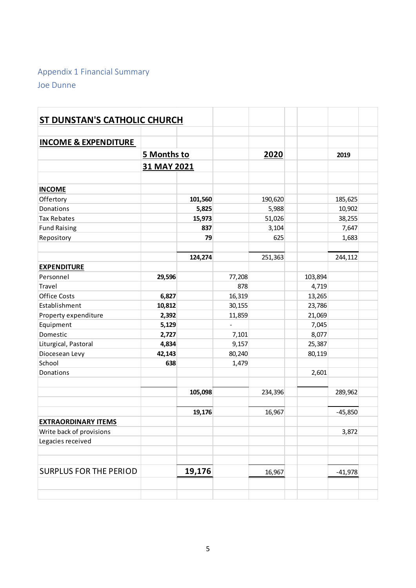# Appendix 1 Financial Summary Joe Dunne

| Appendix 1 Financial Summary        |                 |         |                 | 2020<br>190,620<br>5,988<br>51,026<br>3,104<br>625<br>251,363<br>103,894<br>4,719<br>13,265<br>23,786<br>21,069<br>7,045 |        |           |  |
|-------------------------------------|-----------------|---------|-----------------|--------------------------------------------------------------------------------------------------------------------------|--------|-----------|--|
| Joe Dunne                           |                 |         |                 |                                                                                                                          |        |           |  |
|                                     |                 |         |                 |                                                                                                                          |        |           |  |
|                                     |                 |         |                 |                                                                                                                          |        |           |  |
|                                     |                 |         |                 |                                                                                                                          |        |           |  |
| <b>ST DUNSTAN'S CATHOLIC CHURCH</b> |                 |         |                 |                                                                                                                          |        |           |  |
|                                     |                 |         |                 |                                                                                                                          |        |           |  |
| <b>INCOME &amp; EXPENDITURE</b>     |                 |         |                 |                                                                                                                          |        |           |  |
|                                     | 5 Months to     |         |                 |                                                                                                                          |        | 2019      |  |
|                                     | 31 MAY 2021     |         |                 |                                                                                                                          |        |           |  |
|                                     |                 |         |                 |                                                                                                                          |        |           |  |
| <b>INCOME</b>                       |                 |         |                 |                                                                                                                          |        |           |  |
| Offertory                           |                 | 101,560 |                 |                                                                                                                          |        | 185,625   |  |
| Donations                           |                 | 5,825   |                 |                                                                                                                          |        | 10,902    |  |
| Tax Rebates                         |                 | 15,973  |                 |                                                                                                                          |        | 38,255    |  |
| <b>Fund Raising</b>                 |                 | 837     |                 |                                                                                                                          |        | 7,647     |  |
| Repository                          |                 | 79      |                 |                                                                                                                          |        | 1,683     |  |
|                                     |                 | 124,274 |                 |                                                                                                                          |        | 244,112   |  |
| <b>EXPENDITURE</b>                  |                 |         |                 |                                                                                                                          |        |           |  |
| Personnel                           | 29,596          |         | 77,208          |                                                                                                                          |        |           |  |
| Travel                              |                 |         | 878             |                                                                                                                          |        |           |  |
| Office Costs                        | 6,827           |         | 16,319          |                                                                                                                          |        |           |  |
| Establishment                       | 10,812          |         | 30,155          |                                                                                                                          |        |           |  |
| Property expenditure                | 2,392           |         | 11,859          |                                                                                                                          |        |           |  |
| Equipment                           | 5,129           |         | $\overline{a}$  |                                                                                                                          |        |           |  |
| Domestic                            | 2,727           |         | 7,101           |                                                                                                                          | 8,077  |           |  |
| Liturgical, Pastoral                | 4,834<br>42,143 |         | 9,157<br>80,240 |                                                                                                                          | 25,387 |           |  |
| Diocesean Levy<br>School            | 638             |         | 1,479           |                                                                                                                          | 80,119 |           |  |
| Donations                           |                 |         |                 |                                                                                                                          | 2,601  |           |  |
|                                     |                 |         |                 |                                                                                                                          |        |           |  |
|                                     |                 | 105,098 |                 | 234,396                                                                                                                  |        | 289,962   |  |
|                                     |                 |         |                 |                                                                                                                          |        |           |  |
| <b>EXTRAORDINARY ITEMS</b>          |                 | 19,176  |                 | 16,967                                                                                                                   |        | $-45,850$ |  |
| Write back of provisions            |                 |         |                 |                                                                                                                          |        | 3,872     |  |
| Legacies received                   |                 |         |                 |                                                                                                                          |        |           |  |
|                                     |                 |         |                 |                                                                                                                          |        |           |  |
| <b>SURPLUS FOR THE PERIOD</b>       |                 | 19,176  |                 |                                                                                                                          |        |           |  |
|                                     |                 |         |                 | 16,967                                                                                                                   |        | $-41,978$ |  |
|                                     |                 |         |                 |                                                                                                                          |        |           |  |
|                                     |                 |         |                 |                                                                                                                          |        |           |  |